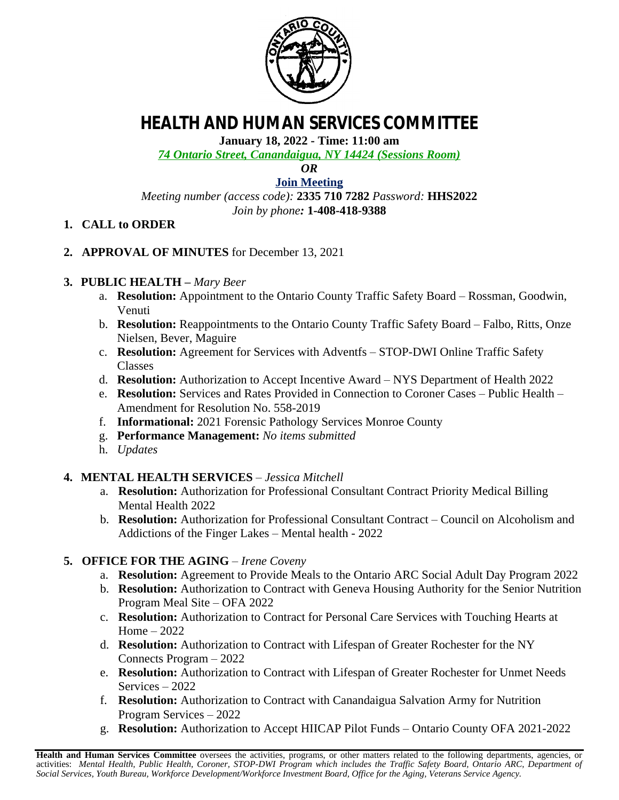

# **HEALTH AND HUMAN SERVICES COMMITTEE**

**January 18, 2022 - Time: 11:00 am**

*74 Ontario Street, Canandaigua, NY 14424 (Sessions Room)*

*OR*

## **[Join Meeting](https://ontariocountyny.webex.com/)**

*Meeting number (access code):* **2335 710 7282** *Password:* **HHS2022** *Join by phone:* **1-408-418-9388**

## **1. CALL to ORDER**

**2. APPROVAL OF MINUTES** for December 13, 2021

## **3. PUBLIC HEALTH –** *Mary Beer*

- a. **Resolution:** Appointment to the Ontario County Traffic Safety Board Rossman, Goodwin, Venuti
- b. **Resolution:** Reappointments to the Ontario County Traffic Safety Board Falbo, Ritts, Onze Nielsen, Bever, Maguire
- c. **Resolution:** Agreement for Services with Adventfs STOP-DWI Online Traffic Safety Classes
- d. **Resolution:** Authorization to Accept Incentive Award NYS Department of Health 2022
- e. **Resolution:** Services and Rates Provided in Connection to Coroner Cases Public Health Amendment for Resolution No. 558-2019
- f. **Informational:** 2021 Forensic Pathology Services Monroe County
- g. **Performance Management:** *No items submitted*
- h. *Updates*
- **4. MENTAL HEALTH SERVICES** – *Jessica Mitchell*
	- a. **Resolution:** Authorization for Professional Consultant Contract Priority Medical Billing Mental Health 2022
	- b. **Resolution:** Authorization for Professional Consultant Contract Council on Alcoholism and Addictions of the Finger Lakes – Mental health - 2022

#### **5. OFFICE FOR THE AGING** *– Irene Coveny*

- a. **Resolution:** Agreement to Provide Meals to the Ontario ARC Social Adult Day Program 2022
- b. **Resolution:** Authorization to Contract with Geneva Housing Authority for the Senior Nutrition Program Meal Site – OFA 2022
- c. **Resolution:** Authorization to Contract for Personal Care Services with Touching Hearts at Home – 2022
- d. **Resolution:** Authorization to Contract with Lifespan of Greater Rochester for the NY Connects Program – 2022
- e. **Resolution:** Authorization to Contract with Lifespan of Greater Rochester for Unmet Needs Services – 2022
- f. **Resolution:** Authorization to Contract with Canandaigua Salvation Army for Nutrition Program Services – 2022
- g. **Resolution:** Authorization to Accept HIICAP Pilot Funds Ontario County OFA 2021-2022